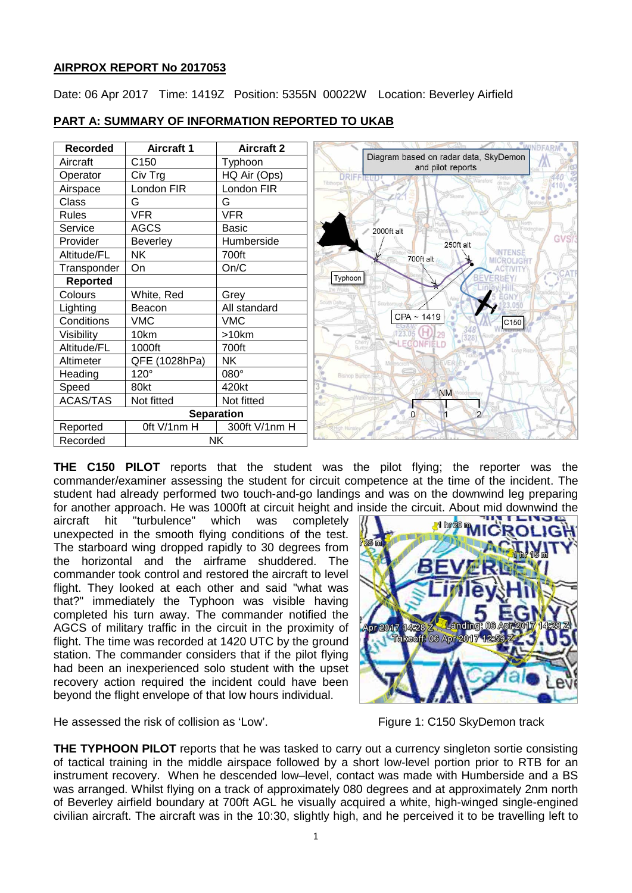# **AIRPROX REPORT No 2017053**

Date: 06 Apr 2017 Time: 1419Z Position: 5355N 00022W Location: Beverley Airfield

| <b>Recorded</b>   | <b>Aircraft 1</b> | <b>Aircraft 2</b> |                                                            |
|-------------------|-------------------|-------------------|------------------------------------------------------------|
| Aircraft          | C150              | Typhoon           | Diagram based on radar data, SkyDemon<br>and pilot reports |
| Operator          | Civ Trg           | HQ Air (Ops)      | <b>DRIFFIEW</b>                                            |
| Airspace          | London FIR        | London FIR        | Tibthorpe <sup>1</sup>                                     |
| Class             | G                 | G                 | Skeme                                                      |
| <b>Rules</b>      | <b>VFR</b>        | <b>VFR</b>        |                                                            |
| Service           | <b>AGCS</b>       | <b>Basic</b>      | 2000ft alt                                                 |
| Provider          | <b>Beverley</b>   | Humberside        | 250ft alt                                                  |
| Altitude/FL       | <b>NK</b>         | 700ft             | <b>NTENS</b><br>700ft alt<br>MICROLIGHT                    |
| Transponder       | On                | On/C              |                                                            |
| <b>Reported</b>   |                   |                   | Typhoon                                                    |
| Colours           | White, Red        | Grey              | South Dalton                                               |
| Lighting          | Beacon            | All standard      |                                                            |
| Conditions        | <b>VMC</b>        | <b>VMC</b>        | CPA ~ 1419<br>C150                                         |
| Visibility        | 10km              | >10km             |                                                            |
| Altitude/FL       | 1000ft            | 700ft             | LECONFIELD                                                 |
| Altimeter         | QFE (1028hPa)     | <b>NK</b>         |                                                            |
| Heading           | $120^\circ$       | $080^\circ$       | <b>Bishop Burton (45)</b>                                  |
| Speed             | 80kt              | 420kt             | <b>NM</b>                                                  |
| ACAS/TAS          | Not fitted        | Not fitted        | <b>Rák</b>                                                 |
| <b>Separation</b> |                   |                   | 0                                                          |
| Reported          | Oft V/1nm H       | 300ft V/1nm H     |                                                            |
| Recorded          | NK                |                   |                                                            |

## **PART A: SUMMARY OF INFORMATION REPORTED TO UKAB**

**THE C150 PILOT** reports that the student was the pilot flying; the reporter was the commander/examiner assessing the student for circuit competence at the time of the incident. The student had already performed two touch-and-go landings and was on the downwind leg preparing for another approach. He was 1000ft at circuit height and inside the circuit. About mid downwind the

aircraft hit "turbulence" which was completely unexpected in the smooth flying conditions of the test. The starboard wing dropped rapidly to 30 degrees from the horizontal and the airframe shuddered. The commander took control and restored the aircraft to level flight. They looked at each other and said "what was that?" immediately the Typhoon was visible having completed his turn away. The commander notified the AGCS of military traffic in the circuit in the proximity of flight. The time was recorded at 1420 UTC by the ground station. The commander considers that if the pilot flying had been an inexperienced solo student with the upset recovery action required the incident could have been beyond the flight envelope of that low hours individual.



He assessed the risk of collision as 'Low'. Figure 1: C150 SkyDemon track

**THE TYPHOON PILOT** reports that he was tasked to carry out a currency singleton sortie consisting of tactical training in the middle airspace followed by a short low-level portion prior to RTB for an instrument recovery. When he descended low–level, contact was made with Humberside and a BS was arranged. Whilst flying on a track of approximately 080 degrees and at approximately 2nm north of Beverley airfield boundary at 700ft AGL he visually acquired a white, high-winged single-engined civilian aircraft. The aircraft was in the 10:30, slightly high, and he perceived it to be travelling left to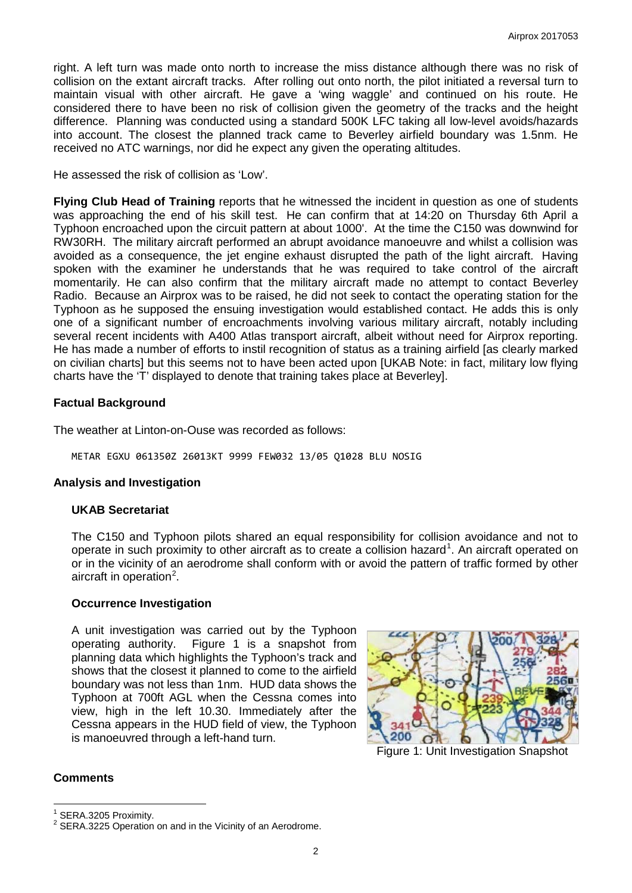right. A left turn was made onto north to increase the miss distance although there was no risk of collision on the extant aircraft tracks. After rolling out onto north, the pilot initiated a reversal turn to maintain visual with other aircraft. He gave a 'wing waggle' and continued on his route. He considered there to have been no risk of collision given the geometry of the tracks and the height difference. Planning was conducted using a standard 500K LFC taking all low-level avoids/hazards into account. The closest the planned track came to Beverley airfield boundary was 1.5nm. He received no ATC warnings, nor did he expect any given the operating altitudes.

He assessed the risk of collision as 'Low'.

**Flying Club Head of Training** reports that he witnessed the incident in question as one of students was approaching the end of his skill test. He can confirm that at 14:20 on Thursday 6th April a Typhoon encroached upon the circuit pattern at about 1000'. At the time the C150 was downwind for RW30RH. The military aircraft performed an abrupt avoidance manoeuvre and whilst a collision was avoided as a consequence, the jet engine exhaust disrupted the path of the light aircraft. Having spoken with the examiner he understands that he was required to take control of the aircraft momentarily. He can also confirm that the military aircraft made no attempt to contact Beverley Radio. Because an Airprox was to be raised, he did not seek to contact the operating station for the Typhoon as he supposed the ensuing investigation would established contact. He adds this is only one of a significant number of encroachments involving various military aircraft, notably including several recent incidents with A400 Atlas transport aircraft, albeit without need for Airprox reporting. He has made a number of efforts to instil recognition of status as a training airfield [as clearly marked on civilian charts] but this seems not to have been acted upon [UKAB Note: in fact, military low flying charts have the 'T' displayed to denote that training takes place at Beverley].

## **Factual Background**

The weather at Linton-on-Ouse was recorded as follows:

METAR EGXU 061350Z 26013KT 9999 FEW032 13/05 Q1028 BLU NOSIG

#### **Analysis and Investigation**

#### **UKAB Secretariat**

The C150 and Typhoon pilots shared an equal responsibility for collision avoidance and not to operate in such proximity to other aircraft as to create a collision hazard<sup>[1](#page-1-0)</sup>. An aircraft operated on or in the vicinity of an aerodrome shall conform with or avoid the pattern of traffic formed by other aircraft in operation<sup>[2](#page-1-1)</sup>.

#### **Occurrence Investigation**

A unit investigation was carried out by the Typhoon operating authority. Figure 1 is a snapshot from planning data which highlights the Typhoon's track and shows that the closest it planned to come to the airfield boundary was not less than 1nm. HUD data shows the Typhoon at 700ft AGL when the Cessna comes into view, high in the left 10.30. Immediately after the Cessna appears in the HUD field of view, the Typhoon is manoeuvred through a left-hand turn.



Figure 1: Unit Investigation Snapshot

## **Comments**

<span id="page-1-1"></span><span id="page-1-0"></span>

SERA.3205 Proximity.<br>SERA.3225 Operation on and in the Vicinity of an Aerodrome.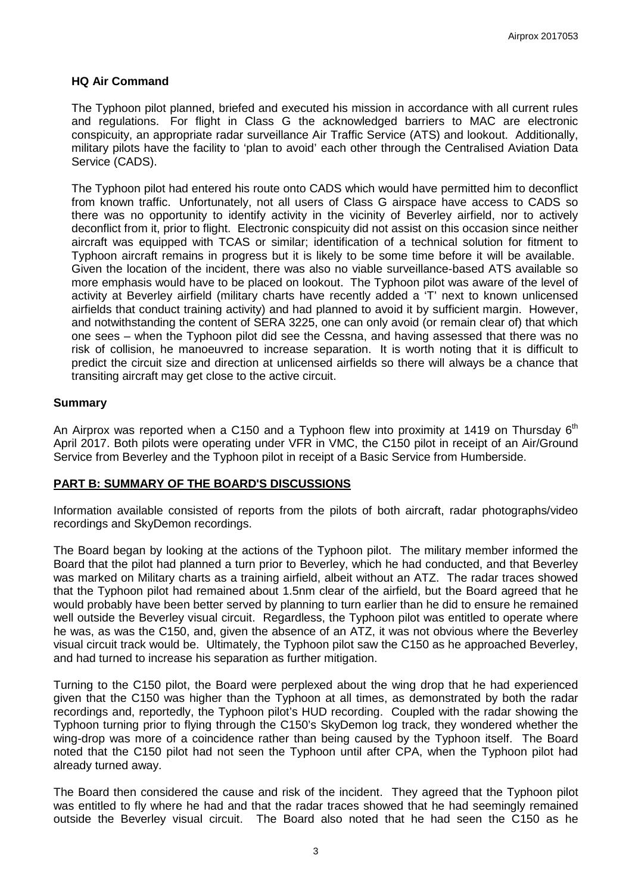### **HQ Air Command**

The Typhoon pilot planned, briefed and executed his mission in accordance with all current rules and regulations. For flight in Class G the acknowledged barriers to MAC are electronic conspicuity, an appropriate radar surveillance Air Traffic Service (ATS) and lookout. Additionally, military pilots have the facility to 'plan to avoid' each other through the Centralised Aviation Data Service (CADS).

The Typhoon pilot had entered his route onto CADS which would have permitted him to deconflict from known traffic. Unfortunately, not all users of Class G airspace have access to CADS so there was no opportunity to identify activity in the vicinity of Beverley airfield, nor to actively deconflict from it, prior to flight. Electronic conspicuity did not assist on this occasion since neither aircraft was equipped with TCAS or similar; identification of a technical solution for fitment to Typhoon aircraft remains in progress but it is likely to be some time before it will be available. Given the location of the incident, there was also no viable surveillance-based ATS available so more emphasis would have to be placed on lookout. The Typhoon pilot was aware of the level of activity at Beverley airfield (military charts have recently added a 'T' next to known unlicensed airfields that conduct training activity) and had planned to avoid it by sufficient margin. However, and notwithstanding the content of SERA 3225, one can only avoid (or remain clear of) that which one sees – when the Typhoon pilot did see the Cessna, and having assessed that there was no risk of collision, he manoeuvred to increase separation. It is worth noting that it is difficult to predict the circuit size and direction at unlicensed airfields so there will always be a chance that transiting aircraft may get close to the active circuit.

## **Summary**

An Airprox was reported when a C150 and a Typhoon flew into proximity at 1419 on Thursday  $6<sup>th</sup>$ April 2017. Both pilots were operating under VFR in VMC, the C150 pilot in receipt of an Air/Ground Service from Beverley and the Typhoon pilot in receipt of a Basic Service from Humberside.

#### **PART B: SUMMARY OF THE BOARD'S DISCUSSIONS**

Information available consisted of reports from the pilots of both aircraft, radar photographs/video recordings and SkyDemon recordings.

The Board began by looking at the actions of the Typhoon pilot. The military member informed the Board that the pilot had planned a turn prior to Beverley, which he had conducted, and that Beverley was marked on Military charts as a training airfield, albeit without an ATZ. The radar traces showed that the Typhoon pilot had remained about 1.5nm clear of the airfield, but the Board agreed that he would probably have been better served by planning to turn earlier than he did to ensure he remained well outside the Beverley visual circuit. Regardless, the Typhoon pilot was entitled to operate where he was, as was the C150, and, given the absence of an ATZ, it was not obvious where the Beverley visual circuit track would be. Ultimately, the Typhoon pilot saw the C150 as he approached Beverley, and had turned to increase his separation as further mitigation.

Turning to the C150 pilot, the Board were perplexed about the wing drop that he had experienced given that the C150 was higher than the Typhoon at all times, as demonstrated by both the radar recordings and, reportedly, the Typhoon pilot's HUD recording. Coupled with the radar showing the Typhoon turning prior to flying through the C150's SkyDemon log track, they wondered whether the wing-drop was more of a coincidence rather than being caused by the Typhoon itself. The Board noted that the C150 pilot had not seen the Typhoon until after CPA, when the Typhoon pilot had already turned away.

The Board then considered the cause and risk of the incident. They agreed that the Typhoon pilot was entitled to fly where he had and that the radar traces showed that he had seemingly remained outside the Beverley visual circuit. The Board also noted that he had seen the C150 as he